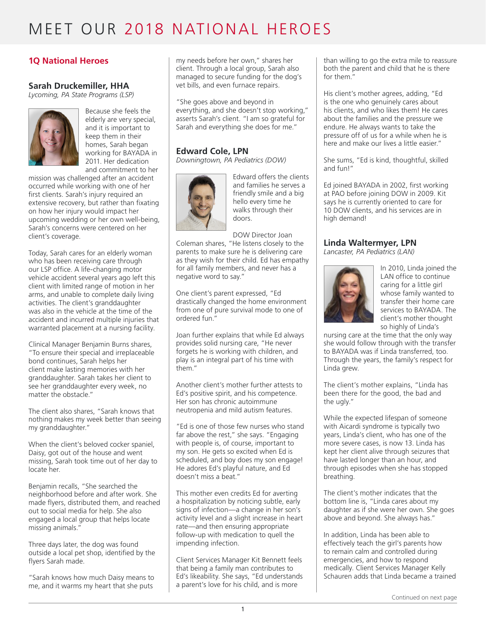## **1Q National Heroes**

#### **Sarah Druckemiller, HHA**

*Lycoming, PA State Programs (LSP)*



Because she feels the elderly are very special, and it is important to keep them in their homes, Sarah began working for BAYADA in 2011. Her dedication and commitment to her

mission was challenged after an accident occurred while working with one of her first clients. Sarah's injury required an extensive recovery, but rather than fixating on how her injury would impact her upcoming wedding or her own well-being, Sarah's concerns were centered on her client's coverage.

Today, Sarah cares for an elderly woman who has been receiving care through our LSP office. A life-changing motor vehicle accident several years ago left this client with limited range of motion in her arms, and unable to complete daily living activities. The client's granddaughter was also in the vehicle at the time of the accident and incurred multiple injuries that warranted placement at a nursing facility.

Clinical Manager Benjamin Burns shares, "To ensure their special and irreplaceable bond continues, Sarah helps her client make lasting memories with her granddaughter. Sarah takes her client to see her granddaughter every week, no matter the obstacle."

The client also shares, "Sarah knows that nothing makes my week better than seeing my granddaughter."

When the client's beloved cocker spaniel, Daisy, got out of the house and went missing, Sarah took time out of her day to locate her.

Benjamin recalls, "She searched the neighborhood before and after work. She made flyers, distributed them, and reached out to social media for help. She also engaged a local group that helps locate missing animals."

Three days later, the dog was found outside a local pet shop, identified by the flyers Sarah made.

"Sarah knows how much Daisy means to me, and it warms my heart that she puts

my needs before her own," shares her client. Through a local group, Sarah also managed to secure funding for the dog's vet bills, and even furnace repairs.

"She goes above and beyond in everything, and she doesn't stop working," asserts Sarah's client. "I am so grateful for Sarah and everything she does for me."

### **Edward Cole, LPN**

*Downingtown, PA Pediatrics (DOW)*



Edward offers the clients and families he serves a friendly smile and a big hello every time he walks through their doors.

DOW Director Joan Coleman shares, "He listens closely to the parents to make sure he is delivering care as they wish for their child. Ed has empathy for all family members, and never has a negative word to say."

One client's parent expressed, "Ed drastically changed the home environment from one of pure survival mode to one of ordered fun."

Joan further explains that while Ed always provides solid nursing care, "He never forgets he is working with children, and play is an integral part of his time with them."

Another client's mother further attests to Ed's positive spirit, and his competence. Her son has chronic autoimmune neutropenia and mild autism features.

"Ed is one of those few nurses who stand far above the rest," she says. "Engaging with people is, of course, important to my son. He gets so excited when Ed is scheduled, and boy does my son engage! He adores Ed's playful nature, and Ed doesn't miss a beat."

This mother even credits Ed for averting a hospitalization by noticing subtle, early signs of infection—a change in her son's activity level and a slight increase in heart rate—and then ensuring appropriate follow-up with medication to quell the impending infection.

Client Services Manager Kit Bennett feels that being a family man contributes to Ed's likeability. She says, "Ed understands a parent's love for his child, and is more

than willing to go the extra mile to reassure both the parent and child that he is there for them."

His client's mother agrees, adding, "Ed is the one who genuinely cares about his clients, and who likes them! He cares about the families and the pressure we endure. He always wants to take the pressure off of us for a while when he is here and make our lives a little easier.'

She sums, "Ed is kind, thoughtful, skilled and fun!"

Ed joined BAYADA in 2002, first working at PAO before joining DOW in 2009. Kit says he is currently oriented to care for 10 DOW clients, and his services are in high demand!

### **Linda Waltermyer, LPN**

*Lancaster, PA Pediatrics (LAN)*



In 2010, Linda joined the LAN office to continue caring for a little girl whose family wanted to transfer their home care services to BAYADA. The client's mother thought so highly of Linda's

nursing care at the time that the only way she would follow through with the transfer to BAYADA was if Linda transferred, too. Through the years, the family's respect for Linda grew.

The client's mother explains, "Linda has been there for the good, the bad and the ugly."

While the expected lifespan of someone with Aicardi syndrome is typically two years, Linda's client, who has one of the more severe cases, is now 13. Linda has kept her client alive through seizures that have lasted longer than an hour, and through episodes when she has stopped breathing.

The client's mother indicates that the bottom line is, "Linda cares about my daughter as if she were her own. She goes above and beyond. She always has."

In addition, Linda has been able to effectively teach the girl's parents how to remain calm and controlled during emergencies, and how to respond medically. Client Services Manager Kelly Schauren adds that Linda became a trained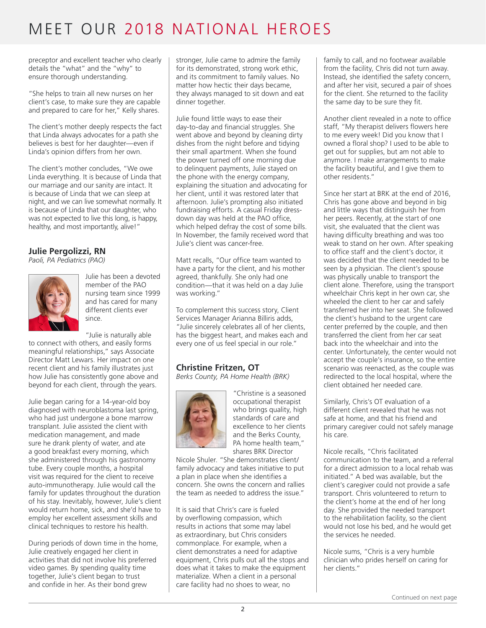preceptor and excellent teacher who clearly details the "what" and the "why" to ensure thorough understanding.

"She helps to train all new nurses on her client's case, to make sure they are capable and prepared to care for her," Kelly shares.

The client's mother deeply respects the fact that Linda always advocates for a path she believes is best for her daughter—even if Linda's opinion differs from her own.

The client's mother concludes, "We owe Linda everything. It is because of Linda that our marriage and our sanity are intact. It is because of Linda that we can sleep at night, and we can live somewhat normally. It is because of Linda that our daughter, who was not expected to live this long, is happy, healthy, and most importantly, alive!"

## **Julie Pergolizzi, RN**

*Paoli, PA Pediatrics (PAO)*



Julie has been a devoted member of the PAO nursing team since 1999 and has cared for many different clients ever since.

"Julie is naturally able to connect with others, and easily forms meaningful relationships," says Associate Director Matt Lewars. Her impact on one recent client and his family illustrates just how Julie has consistently gone above and beyond for each client, through the years.

Julie began caring for a 14-year-old boy diagnosed with neuroblastoma last spring, who had just undergone a bone marrow transplant. Julie assisted the client with medication management, and made sure he drank plenty of water, and ate a good breakfast every morning, which she administered through his gastronomy tube. Every couple months, a hospital visit was required for the client to receive auto-immunotherapy. Julie would call the family for updates throughout the duration of his stay. Inevitably, however, Julie's client would return home, sick, and she'd have to employ her excellent assessment skills and clinical techniques to restore his health.

During periods of down time in the home, Julie creatively engaged her client in activities that did not involve his preferred video games. By spending quality time together, Julie's client began to trust and confide in her. As their bond grew

stronger, Julie came to admire the family for its demonstrated, strong work ethic, and its commitment to family values. No matter how hectic their days became, they always managed to sit down and eat dinner together.

Julie found little ways to ease their day-to-day and financial struggles. She went above and beyond by cleaning dirty dishes from the night before and tidying their small apartment. When she found the power turned off one morning due to delinquent payments, Julie stayed on the phone with the energy company, explaining the situation and advocating for her client, until it was restored later that afternoon. Julie's prompting also initiated fundraising efforts. A casual Friday dressdown day was held at the PAO office, which helped defray the cost of some bills. In November, the family received word that Julie's client was cancer-free.

Matt recalls, "Our office team wanted to have a party for the client, and his mother agreed, thankfully. She only had one condition—that it was held on a day Julie was working."

To complement this success story, Client Services Manager Arianna Billiris adds, "Julie sincerely celebrates all of her clients, has the biggest heart, and makes each and every one of us feel special in our role."

### **Christine Fritzen, OT**

*Berks County, PA Home Health (BRK)*



"Christine is a seasoned occupational therapist who brings quality, high standards of care and excellence to her clients and the Berks County, PA home health team," shares BRK Director

Nicole Shuler. "She demonstrates client/ family advocacy and takes initiative to put a plan in place when she identifies a concern. She owns the concern and rallies the team as needed to address the issue."

It is said that Chris's care is fueled by overflowing compassion, which results in actions that some may label as extraordinary, but Chris considers commonplace. For example, when a client demonstrates a need for adaptive equipment, Chris pulls out all the stops and does what it takes to make the equipment materialize. When a client in a personal care facility had no shoes to wear, no

family to call, and no footwear available from the facility, Chris did not turn away. Instead, she identified the safety concern, and after her visit, secured a pair of shoes for the client. She returned to the facility the same day to be sure they fit.

Another client revealed in a note to office staff, "My therapist delivers flowers here to me every week! Did you know that I owned a floral shop? I used to be able to get out for supplies, but am not able to anymore. I make arrangements to make the facility beautiful, and I give them to other residents."

Since her start at BRK at the end of 2016, Chris has gone above and beyond in big and little ways that distinguish her from her peers. Recently, at the start of one visit, she evaluated that the client was having difficulty breathing and was too weak to stand on her own. After speaking to office staff and the client's doctor, it was decided that the client needed to be seen by a physician. The client's spouse was physically unable to transport the client alone. Therefore, using the transport wheelchair Chris kept in her own car, she wheeled the client to her car and safely transferred her into her seat. She followed the client's husband to the urgent care center preferred by the couple, and then transferred the client from her car seat back into the wheelchair and into the center. Unfortunately, the center would not accept the couple's insurance, so the entire scenario was reenacted, as the couple was redirected to the local hospital, where the client obtained her needed care.

Similarly, Chris's OT evaluation of a different client revealed that he was not safe at home, and that his friend and primary caregiver could not safely manage his care.

Nicole recalls, "Chris facilitated communication to the team, and a referral for a direct admission to a local rehab was initiated." A bed was available, but the client's caregiver could not provide a safe transport. Chris volunteered to return to the client's home at the end of her long day. She provided the needed transport to the rehabilitation facility, so the client would not lose his bed, and he would get the services he needed.

Nicole sums, "Chris is a very humble clinician who prides herself on caring for her clients."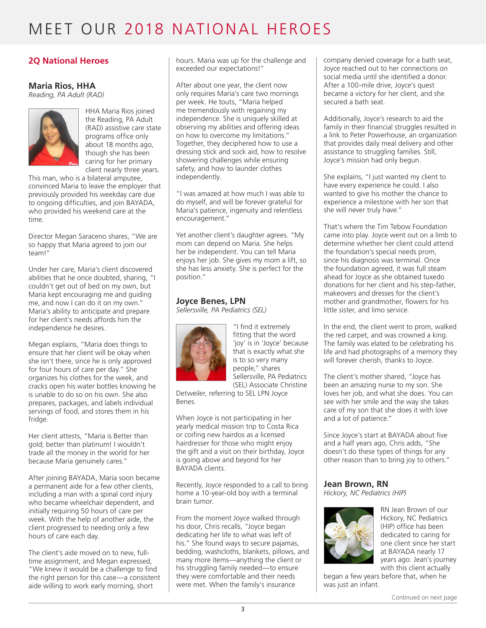### **2Q National Heroes**

#### **Maria Rios, HHA**

*Reading, PA Adult (RAD)*



HHA Maria Rios joined the Reading, PA Adult (RAD) assistive care state programs office only about 18 months ago, though she has been caring for her primary client nearly three years.

This man, who is a bilateral amputee, convinced Maria to leave the employer that previously provided his weekday care due to ongoing difficulties, and join BAYADA, who provided his weekend care at the time.

Director Megan Saraceno shares, "We are so happy that Maria agreed to join our team!"

Under her care, Maria's client discovered abilities that he once doubted, sharing, "I couldn't get out of bed on my own, but Maria kept encouraging me and guiding me, and now I can do it on my own." Maria's ability to anticipate and prepare for her client's needs affords him the independence he desires.

Megan explains, "Maria does things to ensure that her client will be okay when she isn't there, since he is only approved for four hours of care per day." She organizes his clothes for the week, and cracks open his water bottles knowing he is unable to do so on his own. She also prepares, packages, and labels individual servings of food, and stores them in his fridge.

Her client attests, "Maria is Better than gold; better than platinum! I wouldn't trade all the money in the world for her because Maria genuinely cares."

After joining BAYADA, Maria soon became a permanent aide for a few other clients, including a man with a spinal cord injury who became wheelchair dependent, and initially requiring 50 hours of care per week. With the help of another aide, the client progressed to needing only a few hours of care each day.

The client's aide moved on to new, fulltime assignment, and Megan expressed, "We knew it would be a challenge to find the right person for this case—a consistent aide willing to work early morning, short

hours. Maria was up for the challenge and exceeded our expectations!"

After about one year, the client now only requires Maria's care two mornings per week. He touts, "Maria helped me tremendously with regaining my independence. She is uniquely skilled at observing my abilities and offering ideas on how to overcome my limitations." Together, they deciphered how to use a dressing stick and sock aid, how to resolve showering challenges while ensuring safety, and how to launder clothes independently.

"I was amazed at how much I was able to do myself, and will be forever grateful for Maria's patience, ingenuity and relentless encouragement."

Yet another client's daughter agrees. "My mom can depend on Maria. She helps her be independent. You can tell Maria enjoys her job. She gives my mom a lift, so she has less anxiety. She is perfect for the position."

### **Joyce Benes, LPN**

*Sellersville, PA Pediatrics (SEL)*



"I find it extremely fitting that the word 'joy' is in 'Joyce' because that is exactly what she is to so very many people," shares Sellersville, PA Pediatrics (SEL) Associate Christine

Detweiler, referring to SEL LPN Joyce Benes.

When Joyce is not participating in her yearly medical mission trip to Costa Rica or coifing new hairdos as a licensed hairdresser for those who might enjoy the gift and a visit on their birthday, Joyce is going above and beyond for her BAYADA clients.

Recently, Joyce responded to a call to bring home a 10-year-old boy with a terminal brain tumor.

From the moment Joyce walked through his door, Chris recalls, "Joyce began dedicating her life to what was left of his." She found ways to secure pajamas, bedding, washcloths, blankets, pillows, and many more items—anything the client or his struggling family needed—to ensure they were comfortable and their needs were met. When the family's insurance

company denied coverage for a bath seat, Joyce reached out to her connections on social media until she identified a donor. After a 100-mile drive, Joyce's quest became a victory for her client, and she secured a bath seat.

Additionally, Joyce's research to aid the family in their financial struggles resulted in a link to Peter Powerhouse, an organization that provides daily meal delivery and other assistance to struggling families. Still, Joyce's mission had only begun.

She explains, "I just wanted my client to have every experience he could. I also wanted to give his mother the chance to experience a milestone with her son that she will never truly have."

That's where the Tim Tebow Foundation came into play. Joyce went out on a limb to determine whether her client could attend the foundation's special needs prom, since his diagnosis was terminal. Once the foundation agreed, it was full steam ahead for Joyce as she obtained tuxedo donations for her client and his step-father, makeovers and dresses for the client's mother and grandmother, flowers for his little sister, and limo service.

In the end, the client went to prom, walked the red carpet, and was crowned a king. The family was elated to be celebrating his life and had photographs of a memory they will forever cherish, thanks to Joyce.

The client's mother shared, "Joyce has been an amazing nurse to my son. She loves her job, and what she does. You can see with her smile and the way she takes care of my son that she does it with love and a lot of patience."

Since Joyce's start at BAYADA about five and a half years ago, Chris adds, "She doesn't do these types of things for any other reason than to bring joy to others."

#### **Jean Brown, RN**

*Hickory, NC Pediatrics (HIP)*



RN Jean Brown of our Hickory, NC Pediatrics (HIP) office has been dedicated to caring for one client since her start at BAYADA nearly 17 years ago. Jean's journey with this client actually

began a few years before that, when he was just an infant.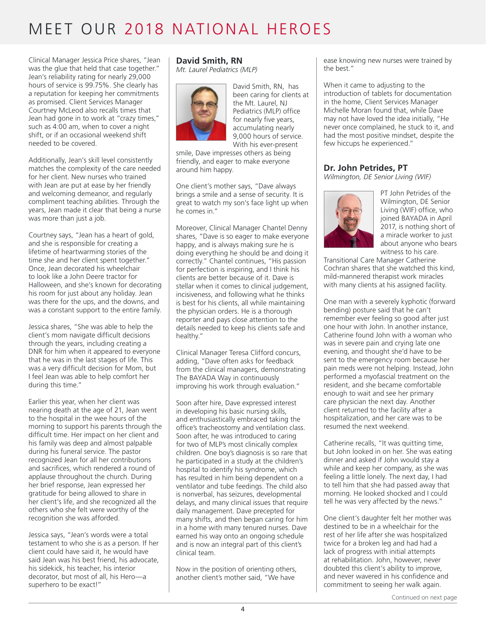Clinical Manager Jessica Price shares, "Jean was the glue that held that case together." Jean's reliability rating for nearly 29,000 hours of service is 99.75%. She clearly has a reputation for keeping her commitments as promised. Client Services Manager Courtney McLeod also recalls times that Jean had gone in to work at "crazy times," such as 4:00 am, when to cover a night shift, or if an occasional weekend shift needed to be covered.

Additionally, Jean's skill level consistently matches the complexity of the care needed for her client. New nurses who trained with Jean are put at ease by her friendly and welcoming demeanor, and regularly compliment teaching abilities. Through the years, Jean made it clear that being a nurse was more than just a job.

Courtney says, "Jean has a heart of gold, and she is responsible for creating a lifetime of heartwarming stories of the time she and her client spent together." Once, Jean decorated his wheelchair to look like a John Deere tractor for Halloween, and she's known for decorating his room for just about any holiday. Jean was there for the ups, and the downs, and was a constant support to the entire family.

Jessica shares, "She was able to help the client's mom navigate difficult decisions through the years, including creating a DNR for him when it appeared to everyone that he was in the last stages of life. This was a very difficult decision for Mom, but I feel Jean was able to help comfort her during this time."

Earlier this year, when her client was nearing death at the age of 21, Jean went to the hospital in the wee hours of the morning to support his parents through the difficult time. Her impact on her client and his family was deep and almost palpable during his funeral service. The pastor recognized Jean for all her contributions and sacrifices, which rendered a round of applause throughout the church. During her brief response, Jean expressed her gratitude for being allowed to share in her client's life, and she recognized all the others who she felt were worthy of the recognition she was afforded.

Jessica says, "Jean's words were a total testament to who she is as a person. If her client could have said it, he would have said Jean was his best friend, his advocate, his sidekick, his teacher, his interior decorator, but most of all, his Hero—a superhero to be exact!"

# **David Smith, RN**

*Mt. Laurel Pediatrics (MLP)*



David Smith, RN, has been caring for clients at the Mt. Laurel, NJ Pediatrics (MLP) office for nearly five years, accumulating nearly 9,000 hours of service. With his ever-present

smile, Dave impresses others as being friendly, and eager to make everyone around him happy.

One client's mother says, "Dave always brings a smile and a sense of security. It is great to watch my son's face light up when he comes in."

Moreover, Clinical Manager Chantel Denny shares, "Dave is so eager to make everyone happy, and is always making sure he is doing everything he should be and doing it correctly." Chantel continues, "His passion for perfection is inspiring, and I think his clients are better because of it. Dave is stellar when it comes to clinical judgement, incisiveness, and following what he thinks is best for his clients, all while maintaining the physician orders. He is a thorough reporter and pays close attention to the details needed to keep his clients safe and healthy."

Clinical Manager Teresa Clifford concurs, adding, "Dave often asks for feedback from the clinical managers, demonstrating The BAYADA Way in continuously improving his work through evaluation."

Soon after hire, Dave expressed interest in developing his basic nursing skills, and enthusiastically embraced taking the office's tracheostomy and ventilation class. Soon after, he was introduced to caring for two of MLP's most clinically complex children. One boy's diagnosis is so rare that he participated in a study at the children's hospital to identify his syndrome, which has resulted in him being dependent on a ventilator and tube feedings. The child also is nonverbal, has seizures, developmental delays, and many clinical issues that require daily management. Dave precepted for many shifts, and then began caring for him in a home with many tenured nurses. Dave earned his way onto an ongoing schedule and is now an integral part of this client's clinical team.

Now in the position of orienting others, another client's mother said, "We have

ease knowing new nurses were trained by the best."

When it came to adjusting to the introduction of tablets for documentation in the home, Client Services Manager Michelle Moran found that, while Dave may not have loved the idea initially, "He never once complained, he stuck to it, and had the most positive mindset, despite the few hiccups he experienced."

## **Dr. John Petrides, PT**

*Wilmington, DE Senior Living (WIF)*



PT John Petrides of the Wilmington, DE Senior Living (WIF) office, who joined BAYADA in April 2017, is nothing short of a miracle worker to just about anyone who bears witness to his care.

Transitional Care Manager Catherine Cochran shares that she watched this kind, mild-mannered therapist work miracles with many clients at his assigned facility.

One man with a severely kyphotic (forward bending) posture said that he can't remember ever feeling so good after just one hour with John. In another instance, Catherine found John with a woman who was in severe pain and crying late one evening, and thought she'd have to be sent to the emergency room because her pain meds were not helping. Instead, John performed a myofascial treatment on the resident, and she became comfortable enough to wait and see her primary care physician the next day. Another client returned to the facility after a hospitalization, and her care was to be resumed the next weekend.

Catherine recalls, "It was quitting time, but John looked in on her. She was eating dinner and asked if John would stay a while and keep her company, as she was feeling a little lonely. The next day, I had to tell him that she had passed away that morning. He looked shocked and I could tell he was very affected by the news."

One client's daughter felt her mother was destined to be in a wheelchair for the rest of her life after she was hospitalized twice for a broken leg and had had a lack of progress with initial attempts at rehabilitation. John, however, never doubted this client's ability to improve, and never wavered in his confidence and commitment to seeing her walk again.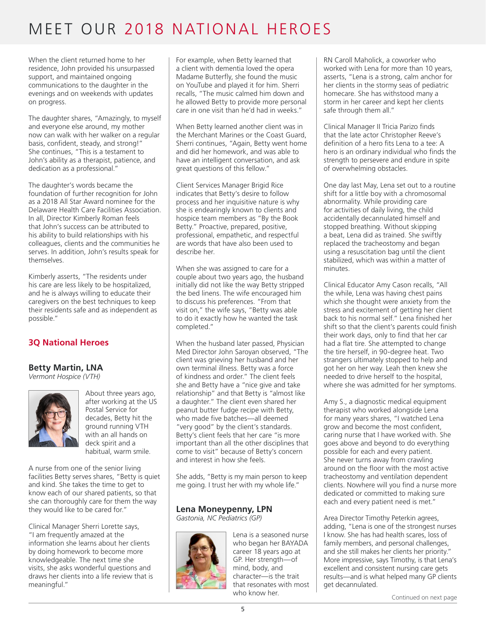When the client returned home to her residence, John provided his unsurpassed support, and maintained ongoing communications to the daughter in the evenings and on weekends with updates on progress.

The daughter shares, "Amazingly, to myself and everyone else around, my mother now can walk with her walker on a regular basis, confident, steady, and strong!" She continues, "This is a testament to John's ability as a therapist, patience, and dedication as a professional."

The daughter's words became the foundation of further recognition for John as a 2018 All Star Award nominee for the Delaware Health Care Facilities Association. In all, Director Kimberly Roman feels that John's success can be attributed to his ability to build relationships with his colleagues, clients and the communities he serves. In addition, John's results speak for themselves.

Kimberly asserts, "The residents under his care are less likely to be hospitalized, and he is always willing to educate their caregivers on the best techniques to keep their residents safe and as independent as possible."

## **3Q National Heroes**

#### **Betty Martin, LNA**

*Vermont Hospice (VTH)*



About three years ago, after working at the US Postal Service for decades, Betty hit the ground running VTH with an all hands on deck spirit and a habitual, warm smile.

A nurse from one of the senior living facilities Betty serves shares, "Betty is quiet and kind. She takes the time to get to know each of our shared patients, so that she can thoroughly care for them the way they would like to be cared for."

Clinical Manager Sherri Lorette says, "I am frequently amazed at the information she learns about her clients by doing homework to become more knowledgeable. The next time she visits, she asks wonderful questions and draws her clients into a life review that is meaningful."

For example, when Betty learned that a client with dementia loved the opera Madame Butterfly, she found the music on YouTube and played it for him. Sherri recalls, "The music calmed him down and he allowed Betty to provide more personal care in one visit than he'd had in weeks."

When Betty learned another client was in the Merchant Marines or the Coast Guard, Sherri continues, "Again, Betty went home and did her homework, and was able to have an intelligent conversation, and ask great questions of this fellow."

Client Services Manager Brigid Rice indicates that Betty's desire to follow process and her inquisitive nature is why she is endearingly known to clients and hospice team members as "By the Book Betty." Proactive, prepared, positive, professional, empathetic, and respectful are words that have also been used to describe her.

When she was assigned to care for a couple about two years ago, the husband initially did not like the way Betty stripped the bed linens. The wife encouraged him to discuss his preferences. "From that visit on," the wife says, "Betty was able to do it exactly how he wanted the task completed."

When the husband later passed, Physician Med Director John Saroyan observed, "The client was grieving her husband and her own terminal illness. Betty was a force of kindness and order." The client feels she and Betty have a "nice give and take relationship" and that Betty is "almost like a daughter." The client even shared her peanut butter fudge recipe with Betty, who made five batches—all deemed "very good" by the client's standards. Betty's client feels that her care "is more important than all the other disciplines that come to visit" because of Betty's concern and interest in how she feels.

She adds, "Betty is my main person to keep me going. I trust her with my whole life."

### **Lena Moneypenny, LPN**

*Gastonia, NC Pediatrics (GP)*



Lena is a seasoned nurse who began her BAYADA career 18 years ago at GP. Her strength—of mind, body, and character—is the trait that resonates with most who know her.

RN Caroll Maholick, a coworker who worked with Lena for more than 10 years, asserts, "Lena is a strong, calm anchor for her clients in the stormy seas of pediatric homecare. She has withstood many a storm in her career and kept her clients safe through them all."

Clinical Manager II Tricia Parizo finds that the late actor Christopher Reeve's definition of a hero fits Lena to a tee: A hero is an ordinary individual who finds the strength to persevere and endure in spite of overwhelming obstacles.

One day last May, Lena set out to a routine shift for a little boy with a chromosomal abnormality. While providing care for activities of daily living, the child accidentally decannulated himself and stopped breathing. Without skipping a beat, Lena did as trained. She swiftly replaced the tracheostomy and began using a resuscitation bag until the client stabilized, which was within a matter of minutes.

Clinical Educator Amy Cason recalls, "All the while, Lena was having chest pains which she thought were anxiety from the stress and excitement of getting her client back to his normal self." Lena finished her shift so that the client's parents could finish their work days, only to find that her car had a flat tire. She attempted to change the tire herself, in 90-degree heat. Two strangers ultimately stopped to help and got her on her way. Leah then knew she needed to drive herself to the hospital, where she was admitted for her symptoms.

Amy S., a diagnostic medical equipment therapist who worked alongside Lena for many years shares, "I watched Lena grow and become the most confident, caring nurse that I have worked with. She goes above and beyond to do everything possible for each and every patient. She never turns away from crawling around on the floor with the most active tracheostomy and ventilation dependent clients. Nowhere will you find a nurse more dedicated or committed to making sure each and every patient need is met."

Area Director Timothy Peterkin agrees, adding, "Lena is one of the strongest nurses I know. She has had health scares, loss of family members, and personal challenges, and she still makes her clients her priority." More impressive, says Timothy, is that Lena's excellent and consistent nursing care gets results—and is what helped many GP clients get decannulated.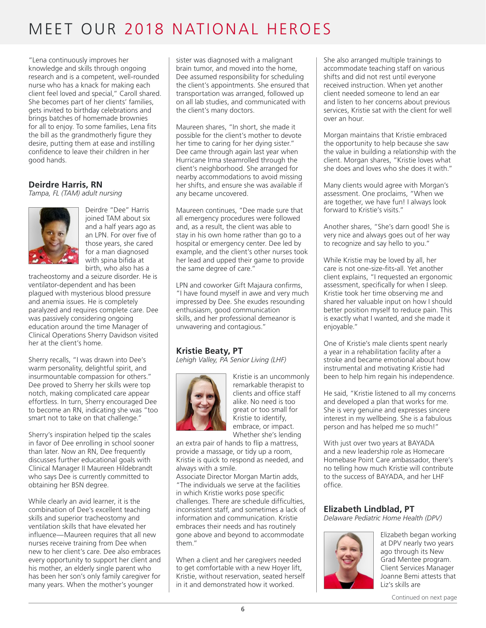"Lena continuously improves her knowledge and skills through ongoing research and is a competent, well-rounded nurse who has a knack for making each client feel loved and special," Caroll shared. She becomes part of her clients' families, gets invited to birthday celebrations and brings batches of homemade brownies for all to enjoy. To some families, Lena fits the bill as the grandmotherly figure they desire, putting them at ease and instilling confidence to leave their children in her good hands.

#### **Deirdre Harris, RN**

*Tampa, FL (TAM) adult nursing*



Deirdre "Dee" Harris joined TAM about six and a half years ago as an LPN. For over five of those years, she cared for a man diagnosed with spina bifida at birth, who also has a

tracheostomy and a seizure disorder. He is ventilator-dependent and has been plagued with mysterious blood pressure and anemia issues. He is completely paralyzed and requires complete care. Dee was passively considering ongoing education around the time Manager of Clinical Operations Sherry Davidson visited her at the client's home.

Sherry recalls, "I was drawn into Dee's warm personality, delightful spirit, and insurmountable compassion for others." Dee proved to Sherry her skills were top notch, making complicated care appear effortless. In turn, Sherry encouraged Dee to become an RN, indicating she was "too smart not to take on that challenge."

Sherry's inspiration helped tip the scales in favor of Dee enrolling in school sooner than later. Now an RN, Dee frequently discusses further educational goals with Clinical Manager II Maureen Hildebrandt who says Dee is currently committed to obtaining her BSN degree.

While clearly an avid learner, it is the combination of Dee's excellent teaching skills and superior tracheostomy and ventilation skills that have elevated her influence—Maureen requires that all new nurses receive training from Dee when new to her client's care. Dee also embraces every opportunity to support her client and his mother, an elderly single parent who has been her son's only family caregiver for many years. When the mother's younger

sister was diagnosed with a malignant brain tumor, and moved into the home, Dee assumed responsibility for scheduling the client's appointments. She ensured that transportation was arranged, followed up on all lab studies, and communicated with the client's many doctors.

Maureen shares, "In short, she made it possible for the client's mother to devote her time to caring for her dying sister." Dee came through again last year when Hurricane Irma steamrolled through the client's neighborhood. She arranged for nearby accommodations to avoid missing her shifts, and ensure she was available if any became uncovered.

Maureen continues, "Dee made sure that all emergency procedures were followed and, as a result, the client was able to stay in his own home rather than go to a hospital or emergency center. Dee led by example, and the client's other nurses took her lead and upped their game to provide the same degree of care."

LPN and coworker Gift Majaura confirms, "I have found myself in awe and very much impressed by Dee. She exudes resounding enthusiasm, good communication skills, and her professional demeanor is unwavering and contagious."

## **Kristie Beaty, PT**

*Lehigh Valley, PA Senior Living (LHF)*



Kristie is an uncommonly remarkable therapist to clients and office staff alike. No need is too great or too small for Kristie to identify, embrace, or impact. Whether she's lending

an extra pair of hands to flip a mattress, provide a massage, or tidy up a room, Kristie is quick to respond as needed, and always with a smile.

Associate Director Morgan Martin adds, "The individuals we serve at the facilities in which Kristie works pose specific challenges. There are schedule difficulties, inconsistent staff, and sometimes a lack of information and communication. Kristie embraces their needs and has routinely gone above and beyond to accommodate them."

When a client and her caregivers needed to get comfortable with a new Hoyer lift, Kristie, without reservation, seated herself in it and demonstrated how it worked.

She also arranged multiple trainings to accommodate teaching staff on various shifts and did not rest until everyone received instruction. When yet another client needed someone to lend an ear and listen to her concerns about previous services, Kristie sat with the client for well over an hour.

Morgan maintains that Kristie embraced the opportunity to help because she saw the value in building a relationship with the client. Morgan shares, "Kristie loves what she does and loves who she does it with."

Many clients would agree with Morgan's assessment. One proclaims, "When we are together, we have fun! I always look forward to Kristie's visits."

Another shares, "She's darn good! She is very nice and always goes out of her way to recognize and say hello to you."

While Kristie may be loved by all, her care is not one-size-fits-all. Yet another client explains, "I requested an ergonomic assessment, specifically for when I sleep. Kristie took her time observing me and shared her valuable input on how I should better position myself to reduce pain. This is exactly what I wanted, and she made it enjoyable."

One of Kristie's male clients spent nearly a year in a rehabilitation facility after a stroke and became emotional about how instrumental and motivating Kristie had been to help him regain his independence.

He said, "Kristie listened to all my concerns and developed a plan that works for me. She is very genuine and expresses sincere interest in my wellbeing. She is a fabulous person and has helped me so much!"

With just over two years at BAYADA and a new leadership role as Homecare Homebase Point Care ambassador, there's no telling how much Kristie will contribute to the success of BAYADA, and her LHF office.

#### **Elizabeth Lindblad, PT**

*Delaware Pediatric Home Health (DPV)*



Elizabeth began working at DPV nearly two years ago through its New Grad Mentee program. Client Services Manager Joanne Bemi attests that Liz's skills are

Continued on next page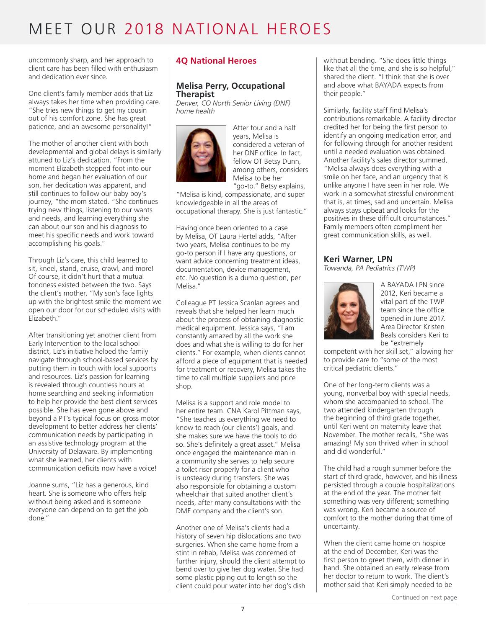uncommonly sharp, and her approach to client care has been filled with enthusiasm and dedication ever since.

One client's family member adds that Liz always takes her time when providing care. "She tries new things to get my cousin out of his comfort zone. She has great patience, and an awesome personality!"

The mother of another client with both developmental and global delays is similarly attuned to Liz's dedication. "From the moment Elizabeth stepped foot into our home and began her evaluation of our son, her dedication was apparent, and still continues to follow our baby boy's journey, "the mom stated. "She continues trying new things, listening to our wants and needs, and learning everything she can about our son and his diagnosis to meet his specific needs and work toward accomplishing his goals."

Through Liz's care, this child learned to sit, kneel, stand, cruise, crawl, and more! Of course, it didn't hurt that a mutual fondness existed between the two. Says the client's mother, "My son's face lights up with the brightest smile the moment we open our door for our scheduled visits with Elizabeth."

After transitioning yet another client from Early Intervention to the local school district, Liz's initiative helped the family navigate through school-based services by putting them in touch with local supports and resources. Liz's passion for learning is revealed through countless hours at home searching and seeking information to help her provide the best client services possible. She has even gone above and beyond a PT's typical focus on gross motor development to better address her clients' communication needs by participating in an assistive technology program at the University of Delaware. By implementing what she learned, her clients with communication deficits now have a voice!

Joanne sums, "Liz has a generous, kind heart. She is someone who offers help without being asked and is someone everyone can depend on to get the job done."

### **4Q National Heroes**

#### **Melisa Perry, Occupational Therapist**

*Denver, CO North Senior Living (DNF) home health*



After four and a half years, Melisa is considered a veteran of her DNF office. In fact, fellow OT Betsy Dunn, among others, considers Melisa to be her "go-to." Betsy explains,

"Melisa is kind, compassionate, and super knowledgeable in all the areas of occupational therapy. She is just fantastic."

Having once been oriented to a case by Melisa, OT Laura Hertel adds, "After two years, Melisa continues to be my go-to person if I have any questions, or want advice concerning treatment ideas, documentation, device management, etc. No question is a dumb question, per Melisa."

Colleague PT Jessica Scanlan agrees and reveals that she helped her learn much about the process of obtaining diagnostic medical equipment. Jessica says, "I am constantly amazed by all the work she does and what she is willing to do for her clients." For example, when clients cannot afford a piece of equipment that is needed for treatment or recovery, Melisa takes the time to call multiple suppliers and price shop.

Melisa is a support and role model to her entire team. CNA Karol Pittman says, "She teaches us everything we need to know to reach (our clients<sup>7</sup>) goals, and she makes sure we have the tools to do so. She's definitely a great asset." Melisa once engaged the maintenance man in a community she serves to help secure a toilet riser properly for a client who is unsteady during transfers. She was also responsible for obtaining a custom wheelchair that suited another client's needs, after many consultations with the DME company and the client's son.

Another one of Melisa's clients had a history of seven hip dislocations and two surgeries. When she came home from a stint in rehab, Melisa was concerned of further injury, should the client attempt to bend over to give her dog water. She had some plastic piping cut to length so the client could pour water into her dog's dish

without bending. "She does little things like that all the time, and she is so helpful," shared the client. "I think that she is over and above what BAYADA expects from their people."

Similarly, facility staff find Melisa's contributions remarkable. A facility director credited her for being the first person to identify an ongoing medication error, and for following through for another resident until a needed evaluation was obtained. Another facility's sales director summed, "Melisa always does everything with a smile on her face, and an urgency that is unlike anyone I have seen in her role. We work in a somewhat stressful environment that is, at times, sad and uncertain. Melisa always stays upbeat and looks for the positives in these difficult circumstances." Family members often compliment her great communication skills, as well.

#### **Keri Warner, LPN**

*Towanda, PA Pediatrics (TWP)*



A BAYADA LPN since 2012, Keri became a vital part of the TWP team since the office opened in June 2017. Area Director Kristen Beals considers Keri to be "extremely

competent with her skill set," allowing her to provide care to "some of the most critical pediatric clients."

One of her long-term clients was a young, nonverbal boy with special needs, whom she accompanied to school. The two attended kindergarten through the beginning of third grade together, until Keri went on maternity leave that November. The mother recalls, "She was amazing! My son thrived when in school and did wonderful."

The child had a rough summer before the start of third grade, however, and his illness persisted through a couple hospitalizations at the end of the year. The mother felt something was very different; something was wrong. Keri became a source of comfort to the mother during that time of uncertainty.

When the client came home on hospice at the end of December, Keri was the first person to greet them, with dinner in hand. She obtained an early release from her doctor to return to work. The client's mother said that Keri simply needed to be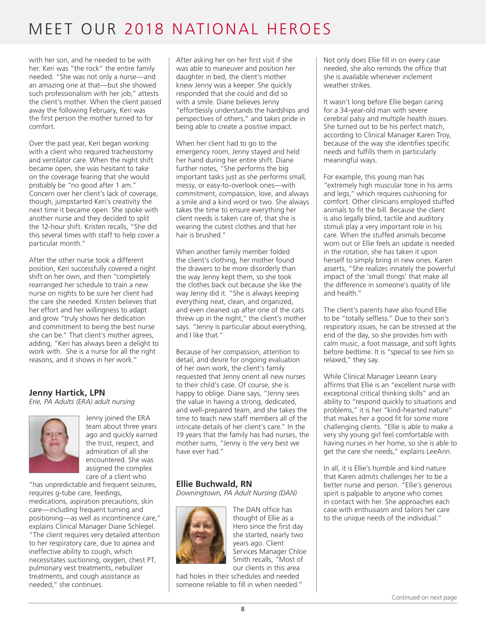with her son, and he needed to be with her. Keri was "the rock" the entire family needed. "She was not only a nurse—and an amazing one at that—but she showed such professionalism with her job," attests the client's mother. When the client passed away the following February, Keri was the first person the mother turned to for comfort.

Over the past year, Keri began working with a client who required tracheostomy and ventilator care. When the night shift became open, she was hesitant to take on the coverage fearing that she would probably be "no good after 1 am." Concern over her client's lack of coverage, though, jumpstarted Keri's creativity the next time it became open. She spoke with another nurse and they decided to split the 12-hour shift. Kristen recalls, "She did this several times with staff to help cover a particular month."

After the other nurse took a different position, Keri successfully covered a night shift on her own, and then "completely rearranged her schedule to train a new nurse on nights to be sure her client had the care she needed. Kristen believes that her effort and her willingness to adapt and grow "truly shows her dedication and commitment to being the best nurse she can be." That client's mother agrees, adding, "Keri has always been a delight to work with. She is a nurse for all the right reasons, and it shows in her work."

### **Jenny Hartick, LPN**

*Erie, PA Adults (ERA) adult nursing*



Jenny joined the ERA team about three years ago and quickly earned the trust, respect, and admiration of all she encountered. She was assigned the complex care of a client who

"has unpredictable and frequent seizures, requires g-tube care, feedings, medications, aspiration precautions, skin care—including frequent turning and positioning—as well as incontinence care," explains Clinical Manager Diane Schlegel. "The client requires very detailed attention to her respiratory care, due to apnea and ineffective ability to cough, which necessitates suctioning, oxygen, chest PT, pulmonary vest treatments, nebulizer treatments, and cough assistance as needed," she continues.

After asking her on her first visit if she was able to maneuver and position her daughter in bed, the client's mother knew Jenny was a keeper. She quickly responded that she could and did so with a smile. Diane believes Jenny "effortlessly understands the hardships and perspectives of others," and takes pride in being able to create a positive impact.

When her client had to go to the emergency room, Jenny stayed and held her hand during her entire shift. Diane further notes, "She performs the big important tasks just as she performs small, messy, or easy-to-overlook ones—with commitment, compassion, love, and always a smile and a kind word or two. She always takes the time to ensure everything her client needs is taken care of, that she is wearing the cutest clothes and that her hair is brushed."

When another family member folded the client's clothing, her mother found the drawers to be more disorderly than the way Jenny kept them, so she took the clothes back out because she like the way Jenny did it. "She is always keeping everything neat, clean, and organized, and even cleaned up after one of the cats threw up in the night," the client's mother says. "Jenny is particular about everything, and I like that."

Because of her compassion, attention to detail, and desire for ongoing evaluation of her own work, the client's family requested that Jenny orient all new nurses to their child's case. Of course, she is happy to oblige. Diane says, "Jenny sees the value in having a strong, dedicated, and well-prepared team, and she takes the time to teach new staff members all of the intricate details of her client's care." In the 19 years that the family has had nurses, the mother sums, "Jenny is the very best we have ever had."

## **Ellie Buchwald, RN**

*Downingtown, PA Adult Nursing (DAN)*



The DAN office has thought of Ellie as a Hero since the first day she started, nearly two years ago. Client Services Manager Chloe Smith recalls, "Most of our clients in this area

had holes in their schedules and needed someone reliable to fill in when needed." Not only does Ellie fill in on every case needed, she also reminds the office that she is available whenever inclement weather strikes.

It wasn't long before Ellie began caring for a 34-year-old man with severe cerebral palsy and multiple health issues. She turned out to be his perfect match, according to Clinical Manager Karen Troy, because of the way she identifies specific needs and fulfills them in particularly meaningful ways.

For example, this young man has "extremely high muscular tone in his arms and legs," which requires cushioning for comfort. Other clinicians employed stuffed animals to fit the bill. Because the client is also legally blind, tactile and auditory stimuli play a very important role in his care. When the stuffed animals become worn out or Ellie feels an update is needed in the rotation, she has taken it upon herself to simply bring in new ones. Karen asserts, "She realizes innately the powerful impact of the 'small things' that make all the difference in someone's quality of life and health."

The client's parents have also found Ellie to be "totally selfless." Due to their son's respiratory issues, he can be stressed at the end of the day, so she provides him with calm music, a foot massage, and soft lights before bedtime. It is "special to see him so relaxed," they say.

While Clinical Manager Leeann Leary affirms that Ellie is an "excellent nurse with exceptional critical thinking skills" and an ability to "respond quickly to situations and problems," it is her "kind-hearted nature" that makes her a good fit for some more challenging clients. "Ellie is able to make a very shy young girl feel comfortable with having nurses in her home, so she is able to get the care she needs," explains LeeAnn.

In all, it is Ellie's humble and kind nature that Karen admits challenges her to be a better nurse and person. "Ellie's generous spirit is palpable to anyone who comes in contact with her. She approaches each case with enthusiasm and tailors her care to the unique needs of the individual."